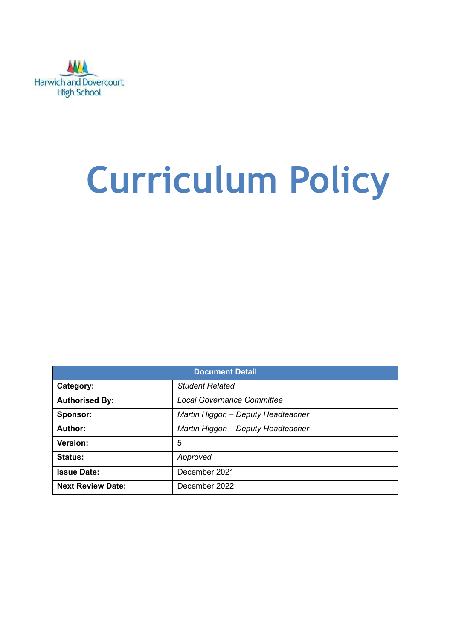

# **Curriculum Policy**

| <b>Document Detail</b>   |                                    |  |  |  |  |  |  |
|--------------------------|------------------------------------|--|--|--|--|--|--|
| Category:                | <b>Student Related</b>             |  |  |  |  |  |  |
| <b>Authorised By:</b>    | <b>Local Governance Committee</b>  |  |  |  |  |  |  |
| Sponsor:                 | Martin Higgon - Deputy Headteacher |  |  |  |  |  |  |
| Author:                  | Martin Higgon - Deputy Headteacher |  |  |  |  |  |  |
| Version:                 | 5                                  |  |  |  |  |  |  |
| <b>Status:</b>           | Approved                           |  |  |  |  |  |  |
| <b>Issue Date:</b>       | December 2021                      |  |  |  |  |  |  |
| <b>Next Review Date:</b> | December 2022                      |  |  |  |  |  |  |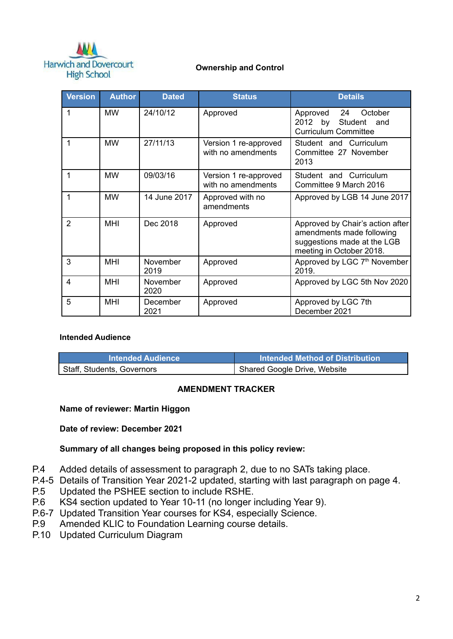

#### **Ownership and Control**

| <b>Version</b> | <b>Author</b> | <b>Dated</b>     | <b>Status</b>                               | <b>Details</b>                                                                                                           |
|----------------|---------------|------------------|---------------------------------------------|--------------------------------------------------------------------------------------------------------------------------|
|                | <b>MW</b>     | 24/10/12         | Approved                                    | Approved 24<br>October<br>2012 by Student and<br><b>Curriculum Committee</b>                                             |
|                | <b>MW</b>     | 27/11/13         | Version 1 re-approved<br>with no amendments | Student and Curriculum<br>Committee 27 November<br>2013                                                                  |
| 1              | <b>MW</b>     | 09/03/16         | Version 1 re-approved<br>with no amendments | Student and Curriculum<br>Committee 9 March 2016                                                                         |
| 1              | <b>MW</b>     | 14 June 2017     | Approved with no<br>amendments              | Approved by LGB 14 June 2017                                                                                             |
| 2              | <b>MHI</b>    | Dec 2018         | Approved                                    | Approved by Chair's action after<br>amendments made following<br>suggestions made at the LGB<br>meeting in October 2018. |
| 3              | <b>MHI</b>    | November<br>2019 | Approved                                    | Approved by LGC 7 <sup>th</sup> November<br>2019.                                                                        |
| 4              | <b>MHI</b>    | November<br>2020 | Approved                                    | Approved by LGC 5th Nov 2020                                                                                             |
| 5              | <b>MHI</b>    | December<br>2021 | Approved                                    | Approved by LGC 7th<br>December 2021                                                                                     |

#### **Intended Audience**

| <b>Intended Audience</b>   | l Intended Method of Distribution |
|----------------------------|-----------------------------------|
| Staff, Students, Governors | Shared Google Drive, Website      |

#### **AMENDMENT TRACKER**

#### **Name of reviewer: Martin Higgon**

**Date of review: December 2021**

#### **Summary of all changes being proposed in this policy review:**

- P.4 Added details of assessment to paragraph 2, due to no SATs taking place.
- P.4-5 Details of Transition Year 2021-2 updated, starting with last paragraph on page 4.
- P.5 Updated the PSHEE section to include RSHE.
- P.6 KS4 section updated to Year 10-11 (no longer including Year 9).
- P.6-7 Updated Transition Year courses for KS4, especially Science.
- P.9 Amended KLIC to Foundation Learning course details.
- P.10 Updated Curriculum Diagram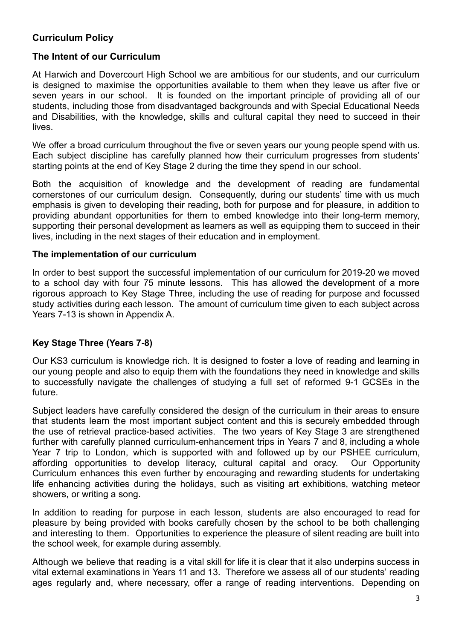## **Curriculum Policy**

## **The Intent of our Curriculum**

At Harwich and Dovercourt High School we are ambitious for our students, and our curriculum is designed to maximise the opportunities available to them when they leave us after five or seven years in our school. It is founded on the important principle of providing all of our students, including those from disadvantaged backgrounds and with Special Educational Needs and Disabilities, with the knowledge, skills and cultural capital they need to succeed in their lives.

We offer a broad curriculum throughout the five or seven years our young people spend with us. Each subject discipline has carefully planned how their curriculum progresses from students' starting points at the end of Key Stage 2 during the time they spend in our school.

Both the acquisition of knowledge and the development of reading are fundamental cornerstones of our curriculum design. Consequently, during our students' time with us much emphasis is given to developing their reading, both for purpose and for pleasure, in addition to providing abundant opportunities for them to embed knowledge into their long-term memory, supporting their personal development as learners as well as equipping them to succeed in their lives, including in the next stages of their education and in employment.

## **The implementation of our curriculum**

In order to best support the successful implementation of our curriculum for 2019-20 we moved to a school day with four 75 minute lessons. This has allowed the development of a more rigorous approach to Key Stage Three, including the use of reading for purpose and focussed study activities during each lesson. The amount of curriculum time given to each subject across Years 7-13 is shown in Appendix A.

## **Key Stage Three (Years 7-8)**

Our KS3 curriculum is knowledge rich. It is designed to foster a love of reading and learning in our young people and also to equip them with the foundations they need in knowledge and skills to successfully navigate the challenges of studying a full set of reformed 9-1 GCSEs in the future.

Subject leaders have carefully considered the design of the curriculum in their areas to ensure that students learn the most important subject content and this is securely embedded through the use of retrieval practice-based activities. The two years of Key Stage 3 are strengthened further with carefully planned curriculum-enhancement trips in Years 7 and 8, including a whole Year 7 trip to London, which is supported with and followed up by our PSHEE curriculum, affording opportunities to develop literacy, cultural capital and oracy. Our Opportunity Curriculum enhances this even further by encouraging and rewarding students for undertaking life enhancing activities during the holidays, such as visiting art exhibitions, watching meteor showers, or writing a song.

In addition to reading for purpose in each lesson, students are also encouraged to read for pleasure by being provided with books carefully chosen by the school to be both challenging and interesting to them. Opportunities to experience the pleasure of silent reading are built into the school week, for example during assembly.

Although we believe that reading is a vital skill for life it is clear that it also underpins success in vital external examinations in Years 11 and 13. Therefore we assess all of our students' reading ages regularly and, where necessary, offer a range of reading interventions. Depending on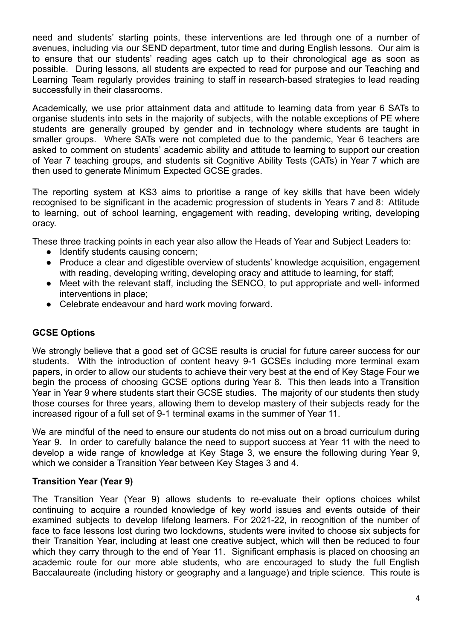need and students' starting points, these interventions are led through one of a number of avenues, including via our SEND department, tutor time and during English lessons. Our aim is to ensure that our students' reading ages catch up to their chronological age as soon as possible. During lessons, all students are expected to read for purpose and our Teaching and Learning Team regularly provides training to staff in research-based strategies to lead reading successfully in their classrooms.

Academically, we use prior attainment data and attitude to learning data from year 6 SATs to organise students into sets in the majority of subjects, with the notable exceptions of PE where students are generally grouped by gender and in technology where students are taught in smaller groups. Where SATs were not completed due to the pandemic, Year 6 teachers are asked to comment on students' academic ability and attitude to learning to support our creation of Year 7 teaching groups, and students sit Cognitive Ability Tests (CATs) in Year 7 which are then used to generate Minimum Expected GCSE grades.

The reporting system at KS3 aims to prioritise a range of key skills that have been widely recognised to be significant in the academic progression of students in Years 7 and 8: Attitude to learning, out of school learning, engagement with reading, developing writing, developing oracy.

These three tracking points in each year also allow the Heads of Year and Subject Leaders to:

- Identify students causing concern;
- Produce a clear and digestible overview of students' knowledge acquisition, engagement with reading, developing writing, developing oracy and attitude to learning, for staff;
- Meet with the relevant staff, including the SENCO, to put appropriate and well- informed interventions in place;
- Celebrate endeavour and hard work moving forward.

## **GCSE Options**

We strongly believe that a good set of GCSE results is crucial for future career success for our students. With the introduction of content heavy 9-1 GCSEs including more terminal exam papers, in order to allow our students to achieve their very best at the end of Key Stage Four we begin the process of choosing GCSE options during Year 8. This then leads into a Transition Year in Year 9 where students start their GCSE studies. The majority of our students then study those courses for three years, allowing them to develop mastery of their subjects ready for the increased rigour of a full set of 9-1 terminal exams in the summer of Year 11.

We are mindful of the need to ensure our students do not miss out on a broad curriculum during Year 9. In order to carefully balance the need to support success at Year 11 with the need to develop a wide range of knowledge at Key Stage 3, we ensure the following during Year 9, which we consider a Transition Year between Key Stages 3 and 4.

## **Transition Year (Year 9)**

The Transition Year (Year 9) allows students to re-evaluate their options choices whilst continuing to acquire a rounded knowledge of key world issues and events outside of their examined subjects to develop lifelong learners. For 2021-22, in recognition of the number of face to face lessons lost during two lockdowns, students were invited to choose six subjects for their Transition Year, including at least one creative subject, which will then be reduced to four which they carry through to the end of Year 11. Significant emphasis is placed on choosing an academic route for our more able students, who are encouraged to study the full English Baccalaureate (including history or geography and a language) and triple science. This route is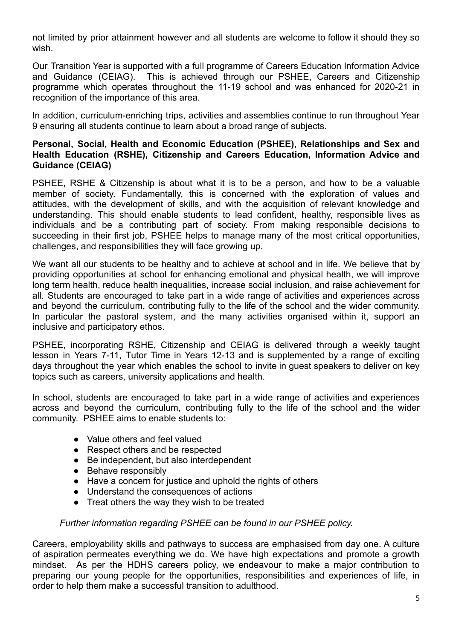not limited by prior attainment however and all students are welcome to follow it should they so wish.

Our Transition Year is supported with a full programme of Careers Education Information Advice and Guidance (CEIAG). This is achieved through our PSHEE, Careers and Citizenship programme which operates throughout the 11-19 school and was enhanced for 2020-21 in recognition of the importance of this area.

In addition, curriculum-enriching trips, activities and assemblies continue to run throughout Year 9 ensuring all students continue to learn about a broad range of subjects.

## **Personal, Social, Health and Economic Education (PSHEE), Relationships and Sex and Health Education (RSHE), Citizenship and Careers Education, Information Advice and Guidance (CEIAG)**

PSHEE, RSHE & Citizenship is about what it is to be a person, and how to be a valuable member of society. Fundamentally, this is concerned with the exploration of values and attitudes, with the development of skills, and with the acquisition of relevant knowledge and understanding. This should enable students to lead confident, healthy, responsible lives as individuals and be a contributing part of society. From making responsible decisions to succeeding in their first job, PSHEE helps to manage many of the most critical opportunities, challenges, and responsibilities they will face growing up.

We want all our students to be healthy and to achieve at school and in life. We believe that by providing opportunities at school for enhancing emotional and physical health, we will improve long term health, reduce health inequalities, increase social inclusion, and raise achievement for all. Students are encouraged to take part in a wide range of activities and experiences across and beyond the curriculum, contributing fully to the life of the school and the wider community. In particular the pastoral system, and the many activities organised within it, support an inclusive and participatory ethos.

PSHEE, incorporating RSHE, Citizenship and CEIAG is delivered through a weekly taught lesson in Years 7-11, Tutor Time in Years 12-13 and is supplemented by a range of exciting days throughout the year which enables the school to invite in guest speakers to deliver on key topics such as careers, university applications and health.

In school, students are encouraged to take part in a wide range of activities and experiences across and beyond the curriculum, contributing fully to the life of the school and the wider community. PSHEE aims to enable students to:

- Value others and feel valued
- Respect others and be respected
- Be independent, but also interdependent
- Behave responsibly
- Have a concern for justice and uphold the rights of others
- Understand the consequences of actions
- Treat others the way they wish to be treated

## *Further information regarding PSHEE can be found in our PSHEE policy.*

Careers, employability skills and pathways to success are emphasised from day one. A culture of aspiration permeates everything we do. We have high expectations and promote a growth mindset. As per the HDHS careers policy, we endeavour to make a major contribution to preparing our young people for the opportunities, responsibilities and experiences of life, in order to help them make a successful transition to adulthood.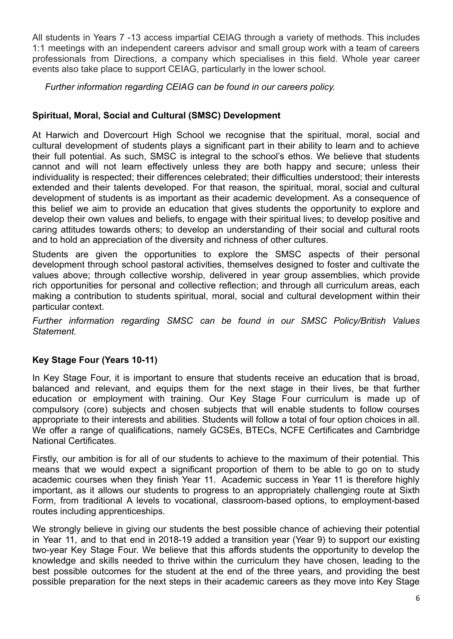All students in Years 7 -13 access impartial CEIAG through a variety of methods. This includes 1:1 meetings with an independent careers advisor and small group work with a team of careers professionals from Directions, a company which specialises in this field. Whole year career events also take place to support CEIAG, particularly in the lower school.

*Further information regarding CEIAG can be found in our careers policy.*

## **Spiritual, Moral, Social and Cultural (SMSC) Development**

At Harwich and Dovercourt High School we recognise that the spiritual, moral, social and cultural development of students plays a significant part in their ability to learn and to achieve their full potential. As such, SMSC is integral to the school's ethos. We believe that students cannot and will not learn effectively unless they are both happy and secure; unless their individuality is respected; their differences celebrated; their difficulties understood; their interests extended and their talents developed. For that reason, the spiritual, moral, social and cultural development of students is as important as their academic development. As a consequence of this belief we aim to provide an education that gives students the opportunity to explore and develop their own values and beliefs, to engage with their spiritual lives; to develop positive and caring attitudes towards others; to develop an understanding of their social and cultural roots and to hold an appreciation of the diversity and richness of other cultures.

Students are given the opportunities to explore the SMSC aspects of their personal development through school pastoral activities, themselves designed to foster and cultivate the values above; through collective worship, delivered in year group assemblies, which provide rich opportunities for personal and collective reflection; and through all curriculum areas, each making a contribution to students spiritual, moral, social and cultural development within their particular context.

*Further information regarding SMSC can be found in our SMSC Policy/British Values Statement.*

# **Key Stage Four (Years 10-11)**

In Key Stage Four, it is important to ensure that students receive an education that is broad, balanced and relevant, and equips them for the next stage in their lives, be that further education or employment with training. Our Key Stage Four curriculum is made up of compulsory (core) subjects and chosen subjects that will enable students to follow courses appropriate to their interests and abilities. Students will follow a total of four option choices in all. We offer a range of qualifications, namely GCSEs, BTECs, NCFE Certificates and Cambridge National Certificates.

Firstly, our ambition is for all of our students to achieve to the maximum of their potential. This means that we would expect a significant proportion of them to be able to go on to study academic courses when they finish Year 11. Academic success in Year 11 is therefore highly important, as it allows our students to progress to an appropriately challenging route at Sixth Form, from traditional A levels to vocational, classroom-based options, to employment-based routes including apprenticeships.

We strongly believe in giving our students the best possible chance of achieving their potential in Year 11, and to that end in 2018-19 added a transition year (Year 9) to support our existing two-year Key Stage Four. We believe that this affords students the opportunity to develop the knowledge and skills needed to thrive within the curriculum they have chosen, leading to the best possible outcomes for the student at the end of the three years, and providing the best possible preparation for the next steps in their academic careers as they move into Key Stage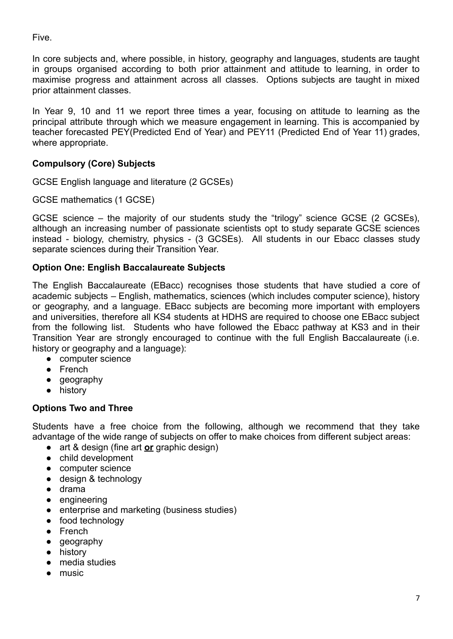Five.

In core subjects and, where possible, in history, geography and languages, students are taught in groups organised according to both prior attainment and attitude to learning, in order to maximise progress and attainment across all classes. Options subjects are taught in mixed prior attainment classes.

In Year 9, 10 and 11 we report three times a year, focusing on attitude to learning as the principal attribute through which we measure engagement in learning. This is accompanied by teacher forecasted PEY(Predicted End of Year) and PEY11 (Predicted End of Year 11) grades, where appropriate.

# **Compulsory (Core) Subjects**

GCSE English language and literature (2 GCSEs)

GCSE mathematics (1 GCSE)

GCSE science – the majority of our students study the "trilogy" science GCSE (2 GCSEs), although an increasing number of passionate scientists opt to study separate GCSE sciences instead - biology, chemistry, physics - (3 GCSEs). All students in our Ebacc classes study separate sciences during their Transition Year.

## **Option One: English Baccalaureate Subjects**

The English Baccalaureate (EBacc) recognises those students that have studied a core of academic subjects – English, mathematics, sciences (which includes computer science), history or geography, and a language. EBacc subjects are becoming more important with employers and universities, therefore all KS4 students at HDHS are required to choose one EBacc subject from the following list. Students who have followed the Ebacc pathway at KS3 and in their Transition Year are strongly encouraged to continue with the full English Baccalaureate (i.e. history or geography and a language):

- computer science
- French
- geography
- history

# **Options Two and Three**

Students have a free choice from the following, although we recommend that they take advantage of the wide range of subjects on offer to make choices from different subject areas:

- art & design (fine art **or** graphic design)
- child development
- computer science
- design & technology
- drama
- engineering
- enterprise and marketing (business studies)
- food technology
- French
- geography
- history
- media studies
- music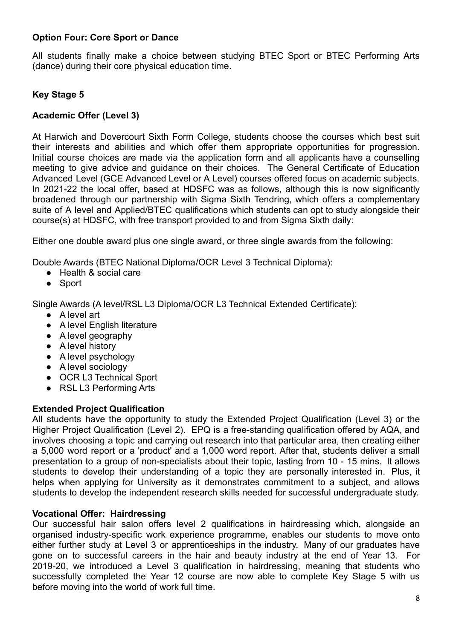## **Option Four: Core Sport or Dance**

All students finally make a choice between studying BTEC Sport or BTEC Performing Arts (dance) during their core physical education time.

## **Key Stage 5**

## **Academic Offer (Level 3)**

At Harwich and Dovercourt Sixth Form College, students choose the courses which best suit their interests and abilities and which offer them appropriate opportunities for progression. Initial course choices are made via the application form and all applicants have a counselling meeting to give advice and guidance on their choices. The General Certificate of Education Advanced Level (GCE Advanced Level or A Level) courses offered focus on academic subjects. In 2021-22 the local offer, based at HDSFC was as follows, although this is now significantly broadened through our partnership with Sigma Sixth Tendring, which offers a complementary suite of A level and Applied/BTEC qualifications which students can opt to study alongside their course(s) at HDSFC, with free transport provided to and from Sigma Sixth daily:

Either one double award plus one single award, or three single awards from the following:

Double Awards (BTEC National Diploma/OCR Level 3 Technical Diploma):

- Health & social care
- Sport

Single Awards (A level/RSL L3 Diploma/OCR L3 Technical Extended Certificate):

- A level art
- A level English literature
- A level geography
- A level history
- A level psychology
- A level sociology
- OCR L3 Technical Sport
- RSL L3 Performing Arts

## **Extended Project Qualification**

All students have the opportunity to study the Extended Project Qualification (Level 3) or the Higher Project Qualification (Level 2). EPQ is a free-standing qualification offered by AQA, and involves choosing a topic and carrying out research into that particular area, then creating either a 5,000 word report or a 'product' and a 1,000 word report. After that, students deliver a small presentation to a group of non-specialists about their topic, lasting from 10 - 15 mins. It allows students to develop their understanding of a topic they are personally interested in. Plus, it helps when applying for University as it demonstrates commitment to a subject, and allows students to develop the independent research skills needed for successful undergraduate study.

## **Vocational Offer: Hairdressing**

Our successful hair salon offers level 2 qualifications in hairdressing which, alongside an organised industry-specific work experience programme, enables our students to move onto either further study at Level 3 or apprenticeships in the industry. Many of our graduates have gone on to successful careers in the hair and beauty industry at the end of Year 13. For 2019-20, we introduced a Level 3 qualification in hairdressing, meaning that students who successfully completed the Year 12 course are now able to complete Key Stage 5 with us before moving into the world of work full time.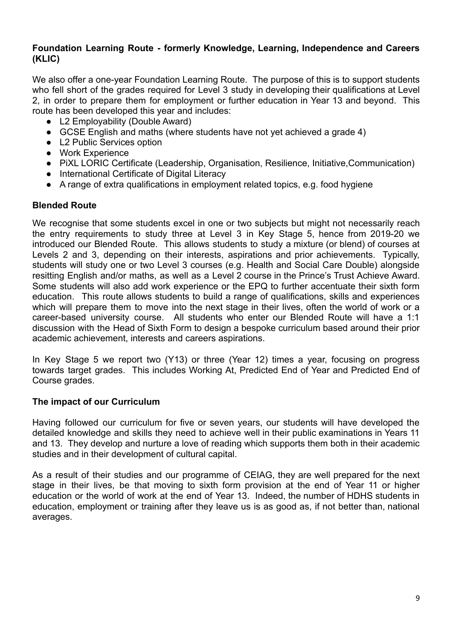## **Foundation Learning Route - formerly Knowledge, Learning, Independence and Careers (KLIC)**

We also offer a one-year Foundation Learning Route. The purpose of this is to support students who fell short of the grades required for Level 3 study in developing their qualifications at Level 2, in order to prepare them for employment or further education in Year 13 and beyond. This route has been developed this year and includes:

- L2 Employability (Double Award)
- GCSE English and maths (where students have not vet achieved a grade 4)
- L2 Public Services option
- Work Experience
- PiXL LORIC Certificate (Leadership, Organisation, Resilience, Initiative,Communication)
- International Certificate of Digital Literacy
- A range of extra qualifications in employment related topics, e.g. food hygiene

## **Blended Route**

We recognise that some students excel in one or two subjects but might not necessarily reach the entry requirements to study three at Level 3 in Key Stage 5, hence from 2019-20 we introduced our Blended Route. This allows students to study a mixture (or blend) of courses at Levels 2 and 3, depending on their interests, aspirations and prior achievements. Typically, students will study one or two Level 3 courses (e.g. Health and Social Care Double) alongside resitting English and/or maths, as well as a Level 2 course in the Prince's Trust Achieve Award. Some students will also add work experience or the EPQ to further accentuate their sixth form education. This route allows students to build a range of qualifications, skills and experiences which will prepare them to move into the next stage in their lives, often the world of work or a career-based university course. All students who enter our Blended Route will have a 1:1 discussion with the Head of Sixth Form to design a bespoke curriculum based around their prior academic achievement, interests and careers aspirations.

In Key Stage 5 we report two (Y13) or three (Year 12) times a year, focusing on progress towards target grades. This includes Working At, Predicted End of Year and Predicted End of Course grades.

## **The impact of our Curriculum**

Having followed our curriculum for five or seven years, our students will have developed the detailed knowledge and skills they need to achieve well in their public examinations in Years 11 and 13. They develop and nurture a love of reading which supports them both in their academic studies and in their development of cultural capital.

As a result of their studies and our programme of CEIAG, they are well prepared for the next stage in their lives, be that moving to sixth form provision at the end of Year 11 or higher education or the world of work at the end of Year 13. Indeed, the number of HDHS students in education, employment or training after they leave us is as good as, if not better than, national averages.